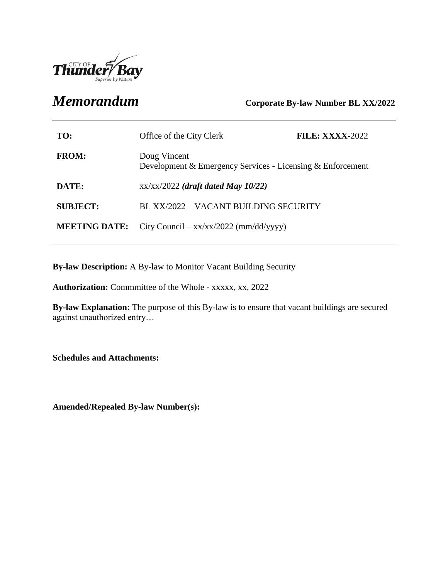

*Memorandum* **Corporate By-law Number BL XX/2022**

| TO:                  | Office of the City Clerk                                                   | <b>FILE: XXXX-2022</b> |
|----------------------|----------------------------------------------------------------------------|------------------------|
| <b>FROM:</b>         | Doug Vincent<br>Development & Emergency Services - Licensing & Enforcement |                        |
| DATE:                | $xx/xx/2022$ (draft dated May 10/22)                                       |                        |
| <b>SUBJECT:</b>      | BL XX/2022 - VACANT BUILDING SECURITY                                      |                        |
| <b>MEETING DATE:</b> | City Council – $xx/xx/2022$ (mm/dd/yyyy)                                   |                        |

**By-law Description:** A By-law to Monitor Vacant Building Security

**Authorization:** Commmittee of the Whole - xxxxx, xx, 2022

**By-law Explanation:** The purpose of this By-law is to ensure that vacant buildings are secured against unauthorized entry…

**Schedules and Attachments:**

**Amended/Repealed By-law Number(s):**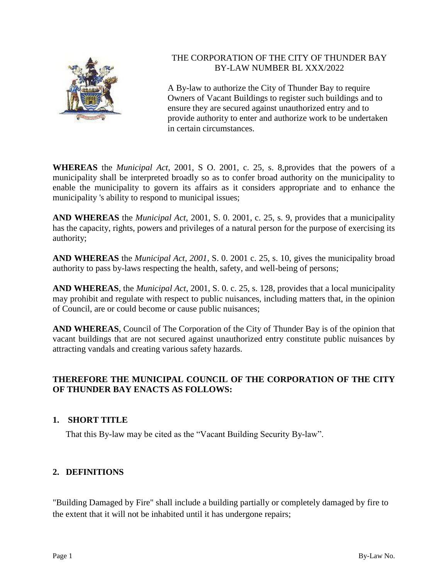

# THE CORPORATION OF THE CITY OF THUNDER BAY BY-LAW NUMBER BL XXX/2022

A By-law to authorize the City of Thunder Bay to require Owners of Vacant Buildings to register such buildings and to ensure they are secured against unauthorized entry and to provide authority to enter and authorize work to be undertaken in certain circumstances.

**WHEREAS** the *Municipal Act*, 2001, S O. 2001, c. 25, s. 8,provides that the powers of a municipality shall be interpreted broadly so as to confer broad authority on the municipality to enable the municipality to govern its affairs as it considers appropriate and to enhance the municipality 's ability to respond to municipal issues;

**AND WHEREAS** the *Municipal Act*, 2001, S. 0. 2001, c. 25, s. 9, provides that a municipality has the capacity, rights, powers and privileges of a natural person for the purpose of exercising its authority;

**AND WHEREAS** the *Municipal Act, 2001*, S. 0. 2001 c. 25, s. 10, gives the municipality broad authority to pass by-laws respecting the health, safety, and well-being of persons;

**AND WHEREAS**, the *Municipal Act*, 2001, S. 0. c. 25, s. 128, provides that a local municipality may prohibit and regulate with respect to public nuisances, including matters that, in the opinion of Council, are or could become or cause public nuisances;

**AND WHEREAS**, Council of The Corporation of the City of Thunder Bay is of the opinion that vacant buildings that are not secured against unauthorized entry constitute public nuisances by attracting vandals and creating various safety hazards.

# **THEREFORE THE MUNICIPAL COUNCIL OF THE CORPORATION OF THE CITY OF THUNDER BAY ENACTS AS FOLLOWS:**

# **1. SHORT TITLE**

That this By-law may be cited as the "Vacant Building Security By-law".

# **2. DEFINITIONS**

"Building Damaged by Fire" shall include a building partially or completely damaged by fire to the extent that it will not be inhabited until it has undergone repairs;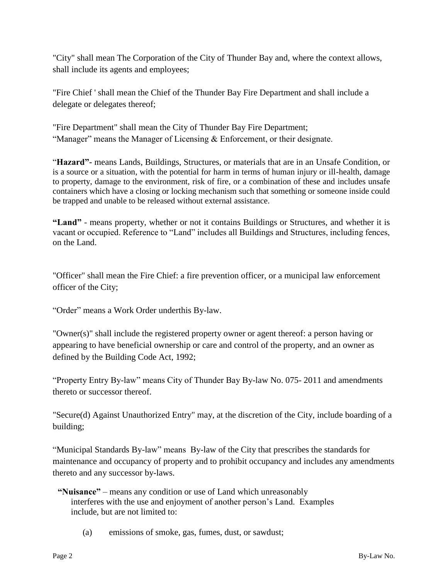"City" shall mean The Corporation of the City of Thunder Bay and, where the context allows, shall include its agents and employees;

"Fire Chief ' shall mean the Chief of the Thunder Bay Fire Department and shall include a delegate or delegates thereof;

"Fire Department" shall mean the City of Thunder Bay Fire Department; "Manager" means the Manager of Licensing & Enforcement, or their designate.

"**Hazard"-** means Lands, Buildings, Structures, or materials that are in an Unsafe Condition, or is a source or a situation, with the potential for harm in terms of human injury or ill-health, damage to property, damage to the environment, risk of fire, or a combination of these and includes unsafe containers which have a closing or locking mechanism such that something or someone inside could be trapped and unable to be released without external assistance.

**"Land"** - means property, whether or not it contains Buildings or Structures, and whether it is vacant or occupied. Reference to "Land" includes all Buildings and Structures, including fences, on the Land.

"Officer" shall mean the Fire Chief: a fire prevention officer, or a municipal law enforcement officer of the City;

"Order" means a Work Order underthis By-law.

"Owner(s)" shall include the registered property owner or agent thereof: a person having or appearing to have beneficial ownership or care and control of the property, and an owner as defined by the Building Code Act, 1992;

"Property Entry By-law" means City of Thunder Bay By-law No. 075- 2011 and amendments thereto or successor thereof.

"Secure(d) Against Unauthorized Entry" may, at the discretion of the City, include boarding of a building;

"Municipal Standards By-law" means By-law of the City that prescribes the standards for maintenance and occupancy of property and to prohibit occupancy and includes any amendments thereto and any successor by-laws.

# **"Nuisance"** – means any condition or use of Land which unreasonably interferes with the use and enjoyment of another person's Land. Examples include, but are not limited to:

(a) emissions of smoke, gas, fumes, dust, or sawdust;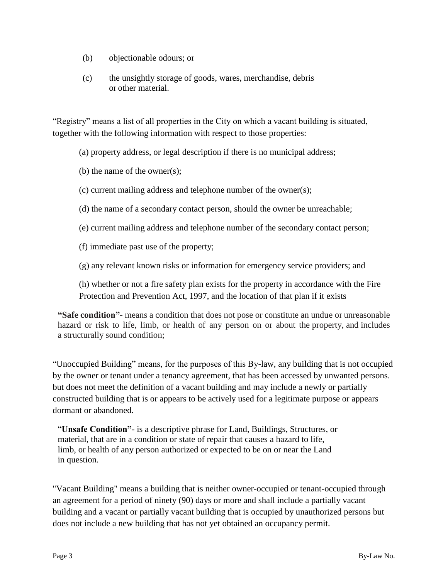- (b) objectionable odours; or
- (c) the unsightly storage of goods, wares, merchandise, debris or other material.

"Registry" means a list of all properties in the City on which a vacant building is situated, together with the following information with respect to those properties:

(a) property address, or legal description if there is no municipal address;

(b) the name of the owner(s);

- (c) current mailing address and telephone number of the owner(s);
- (d) the name of a secondary contact person, should the owner be unreachable;
- (e) current mailing address and telephone number of the secondary contact person;

(f) immediate past use of the property;

(g) any relevant known risks or information for emergency service providers; and

(h) whether or not a fire safety plan exists for the property in accordance with the Fire Protection and Prevention Act, 1997, and the location of that plan if it exists

**"Safe condition"-** means a condition that does not pose or constitute an undue or unreasonable hazard or risk to life, limb, or health of any person on or about the property, and includes a structurally sound condition;

"Unoccupied Building" means, for the purposes of this By-law, any building that is not occupied by the owner or tenant under a tenancy agreement, that has been accessed by unwanted persons. but does not meet the definition of a vacant building and may include a newly or partially constructed building that is or appears to be actively used for a legitimate purpose or appears dormant or abandoned.

"**Unsafe Condition"**- is a descriptive phrase for Land, Buildings, Structures, or material, that are in a condition or state of repair that causes a hazard to life, limb, or health of any person authorized or expected to be on or near the Land in question.

"Vacant Building" means a building that is neither owner-occupied or tenant-occupied through an agreement for a period of ninety (90) days or more and shall include a partially vacant building and a vacant or partially vacant building that is occupied by unauthorized persons but does not include a new building that has not yet obtained an occupancy permit.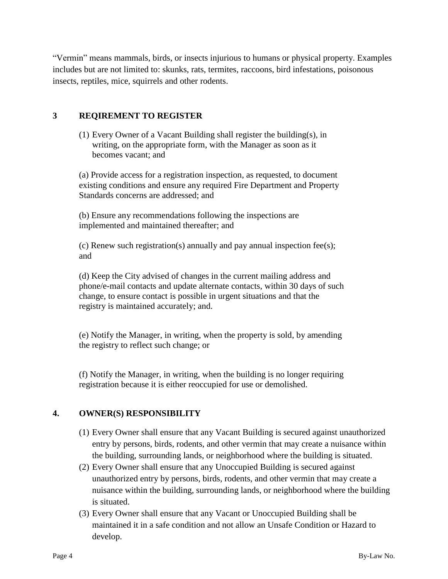"Vermin" means mammals, birds, or insects injurious to humans or physical property. Examples includes but are not limited to: skunks, rats, termites, raccoons, bird infestations, poisonous insects, reptiles, mice, squirrels and other rodents.

# **3 REQIREMENT TO REGISTER**

(1) Every Owner of a Vacant Building shall register the building(s), in writing, on the appropriate form, with the Manager as soon as it becomes vacant; and

(a) Provide access for a registration inspection, as requested, to document existing conditions and ensure any required Fire Department and Property Standards concerns are addressed; and

(b) Ensure any recommendations following the inspections are implemented and maintained thereafter; and

(c) Renew such registration(s) annually and pay annual inspection fee(s); and

(d) Keep the City advised of changes in the current mailing address and phone/e-mail contacts and update alternate contacts, within 30 days of such change, to ensure contact is possible in urgent situations and that the registry is maintained accurately; and.

(e) Notify the Manager, in writing, when the property is sold, by amending the registry to reflect such change; or

(f) Notify the Manager, in writing, when the building is no longer requiring registration because it is either reoccupied for use or demolished.

# **4. OWNER(S) RESPONSIBILITY**

- (1) Every Owner shall ensure that any Vacant Building is secured against unauthorized entry by persons, birds, rodents, and other vermin that may create a nuisance within the building, surrounding lands, or neighborhood where the building is situated.
- (2) Every Owner shall ensure that any Unoccupied Building is secured against unauthorized entry by persons, birds, rodents, and other vermin that may create a nuisance within the building, surrounding lands, or neighborhood where the building is situated.
- (3) Every Owner shall ensure that any Vacant or Unoccupied Building shall be maintained it in a safe condition and not allow an Unsafe Condition or Hazard to develop.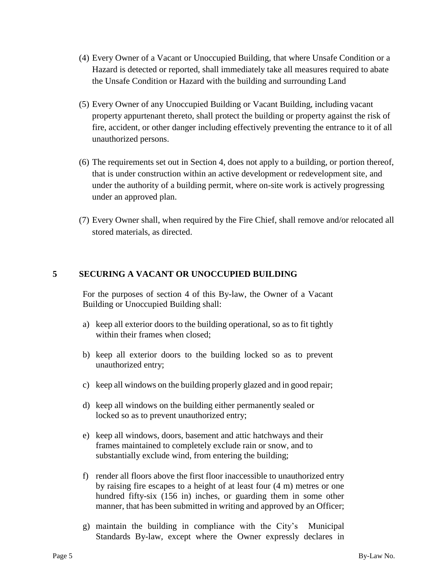- (4) Every Owner of a Vacant or Unoccupied Building, that where Unsafe Condition or a Hazard is detected or reported, shall immediately take all measures required to abate the Unsafe Condition or Hazard with the building and surrounding Land
- (5) Every Owner of any Unoccupied Building or Vacant Building, including vacant property appurtenant thereto, shall protect the building or property against the risk of fire, accident, or other danger including effectively preventing the entrance to it of all unauthorized persons.
- (6) The requirements set out in Section 4, does not apply to a building, or portion thereof, that is under construction within an active development or redevelopment site, and under the authority of a building permit, where on-site work is actively progressing under an approved plan.
- (7) Every Owner shall, when required by the Fire Chief, shall remove and/or relocated all stored materials, as directed.

#### **5 SECURING A VACANT OR UNOCCUPIED BUILDING**

For the purposes of section 4 of this By-law, the Owner of a Vacant Building or Unoccupied Building shall:

- a) keep all exterior doors to the building operational, so as to fit tightly within their frames when closed;
- b) keep all exterior doors to the building locked so as to prevent unauthorized entry;
- c) keep all windows on the building properly glazed and in good repair;
- d) keep all windows on the building either permanently sealed or locked so as to prevent unauthorized entry;
- e) keep all windows, doors, basement and attic hatchways and their frames maintained to completely exclude rain or snow, and to substantially exclude wind, from entering the building;
- f) render all floors above the first floor inaccessible to unauthorized entry by raising fire escapes to a height of at least four (4 m) metres or one hundred fifty-six (156 in) inches, or guarding them in some other manner, that has been submitted in writing and approved by an Officer;
- g) maintain the building in compliance with the City's Municipal Standards By-law, except where the Owner expressly declares in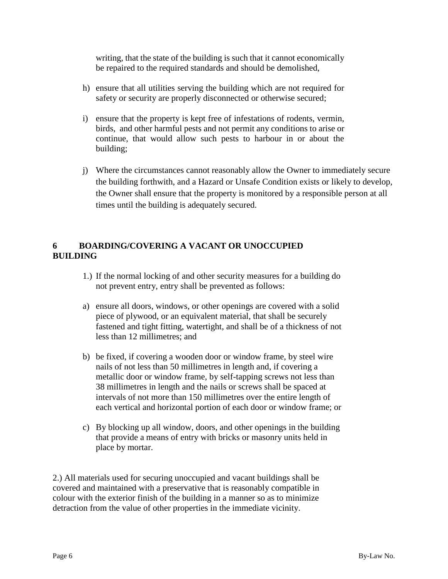writing, that the state of the building is such that it cannot economically be repaired to the required standards and should be demolished,

- h) ensure that all utilities serving the building which are not required for safety or security are properly disconnected or otherwise secured;
- i) ensure that the property is kept free of infestations of rodents, vermin, birds, and other harmful pests and not permit any conditions to arise or continue, that would allow such pests to harbour in or about the building;
- j) Where the circumstances cannot reasonably allow the Owner to immediately secure the building forthwith, and a Hazard or Unsafe Condition exists or likely to develop, the Owner shall ensure that the property is monitored by a responsible person at all times until the building is adequately secured.

# **6 BOARDING/COVERING A VACANT OR UNOCCUPIED BUILDING**

- 1.) If the normal locking of and other security measures for a building do not prevent entry, entry shall be prevented as follows:
- a) ensure all doors, windows, or other openings are covered with a solid piece of plywood, or an equivalent material, that shall be securely fastened and tight fitting, watertight, and shall be of a thickness of not less than 12 millimetres; and
- b) be fixed, if covering a wooden door or window frame, by steel wire nails of not less than 50 millimetres in length and, if covering a metallic door or window frame, by self-tapping screws not less than 38 millimetres in length and the nails or screws shall be spaced at intervals of not more than 150 millimetres over the entire length of each vertical and horizontal portion of each door or window frame; or
- c) By blocking up all window, doors, and other openings in the building that provide a means of entry with bricks or masonry units held in place by mortar.

2.) All materials used for securing unoccupied and vacant buildings shall be covered and maintained with a preservative that is reasonably compatible in colour with the exterior finish of the building in a manner so as to minimize detraction from the value of other properties in the immediate vicinity.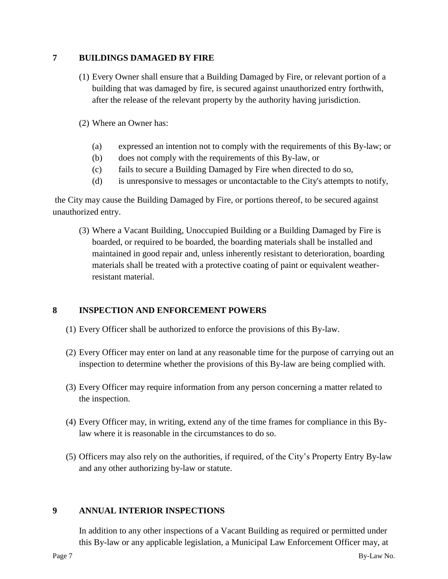# **7 BUILDINGS DAMAGED BY FIRE**

- (1) Every Owner shall ensure that a Building Damaged by Fire, or relevant portion of a building that was damaged by fire, is secured against unauthorized entry forthwith, after the release of the relevant property by the authority having jurisdiction.
- (2) Where an Owner has:
	- (a) expressed an intention not to comply with the requirements of this By-law; or
	- (b) does not comply with the requirements of this By-law, or
	- (c) fails to secure a Building Damaged by Fire when directed to do so,
	- (d) is unresponsive to messages or uncontactable to the City's attempts to notify,

the City may cause the Building Damaged by Fire, or portions thereof, to be secured against unauthorized entry.

(3) Where a Vacant Building, Unoccupied Building or a Building Damaged by Fire is boarded, or required to be boarded, the boarding materials shall be installed and maintained in good repair and, unless inherently resistant to deterioration, boarding materials shall be treated with a protective coating of paint or equivalent weatherresistant material.

# **8 INSPECTION AND ENFORCEMENT POWERS**

- (1) Every Officer shall be authorized to enforce the provisions of this By-law.
- (2) Every Officer may enter on land at any reasonable time for the purpose of carrying out an inspection to determine whether the provisions of this By-law are being complied with.
- (3) Every Officer may require information from any person concerning a matter related to the inspection.
- (4) Every Officer may, in writing, extend any of the time frames for compliance in this Bylaw where it is reasonable in the circumstances to do so.
- (5) Officers may also rely on the authorities, if required, of the City's Property Entry By-law and any other authorizing by-law or statute.

# **9 ANNUAL INTERIOR INSPECTIONS**

In addition to any other inspections of a Vacant Building as required or permitted under this By-law or any applicable legislation, a Municipal Law Enforcement Officer may, at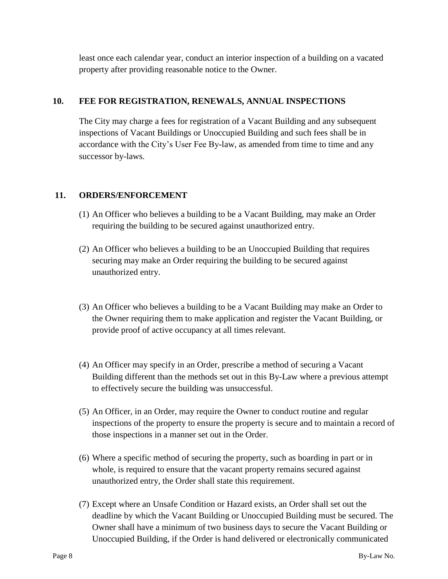least once each calendar year, conduct an interior inspection of a building on a vacated property after providing reasonable notice to the Owner.

# **10. FEE FOR REGISTRATION, RENEWALS, ANNUAL INSPECTIONS**

The City may charge a fees for registration of a Vacant Building and any subsequent inspections of Vacant Buildings or Unoccupied Building and such fees shall be in accordance with the City's User Fee By-law, as amended from time to time and any successor by-laws.

# **11. ORDERS/ENFORCEMENT**

- (1) An Officer who believes a building to be a Vacant Building, may make an Order requiring the building to be secured against unauthorized entry.
- (2) An Officer who believes a building to be an Unoccupied Building that requires securing may make an Order requiring the building to be secured against unauthorized entry.
- (3) An Officer who believes a building to be a Vacant Building may make an Order to the Owner requiring them to make application and register the Vacant Building, or provide proof of active occupancy at all times relevant.
- (4) An Officer may specify in an Order, prescribe a method of securing a Vacant Building different than the methods set out in this By-Law where a previous attempt to effectively secure the building was unsuccessful.
- (5) An Officer, in an Order, may require the Owner to conduct routine and regular inspections of the property to ensure the property is secure and to maintain a record of those inspections in a manner set out in the Order.
- (6) Where a specific method of securing the property, such as boarding in part or in whole, is required to ensure that the vacant property remains secured against unauthorized entry, the Order shall state this requirement.
- (7) Except where an Unsafe Condition or Hazard exists, an Order shall set out the deadline by which the Vacant Building or Unoccupied Building must be secured. The Owner shall have a minimum of two business days to secure the Vacant Building or Unoccupied Building, if the Order is hand delivered or electronically communicated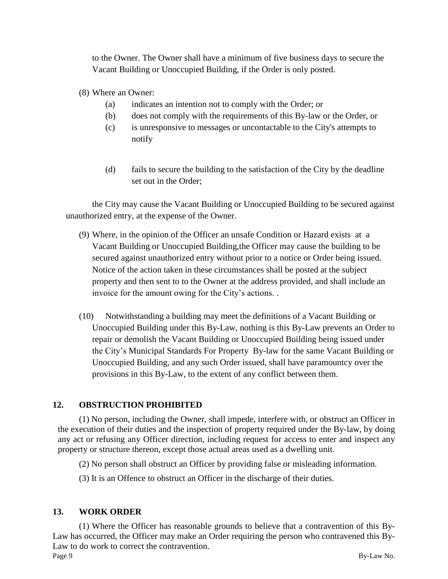to the Owner. The Owner shall have a minimum of five business days to secure the Vacant Building or Unoccupied Building, if the Order is only posted.

- (8) Where an Owner:
	- (a) indicates an intention not to comply with the Order; or
	- (b) does not comply with the requirements of this By-law or the Order, or
	- (c) is unresponsive to messages or uncontactable to the City's attempts to notify
	- (d) fails to secure the building to the satisfaction of the City by the deadline set out in the Order;

the City may cause the Vacant Building or Unoccupied Building to be secured against unauthorized entry, at the expense of the Owner.

- (9) Where, in the opinion of the Officer an unsafe Condition or Hazard exists at a Vacant Building or Unoccupied Building,the Officer may cause the building to be secured against unauthorized entry without prior to a notice or Order being issued. Notice of the action taken in these circumstances shall be posted at the subject property and then sent to to the Owner at the address provided, and shall include an invoice for the amount owing for the City's actions. .
- (10) Notwithstanding a building may meet the definitions of a Vacant Building or Unoccupied Building under this By-Law, nothing is this By-Law prevents an Order to repair or demolish the Vacant Building or Unoccupied Building being issued under the City's Municipal Standards For Property By-law for the same Vacant Building or Unoccupied Building, and any such Order issued, shall have paramountcy over the provisions in this By-Law, to the extent of any conflict between them.

# **12. OBSTRUCTION PROHIBITED**

(1) No person, including the Owner, shall impede, interfere with, or obstruct an Officer in the execution of their duties and the inspection of property required under the By-law, by doing any act or refusing any Officer direction, including request for access to enter and inspect any property or structure thereon, except those actual areas used as a dwelling unit.

- (2) No person shall obstruct an Officer by providing false or misleading information.
- (3) It is an Offence to obstruct an Officer in the discharge of their duties.

# **13. WORK ORDER**

Page 9 By-Law No. (1) Where the Officer has reasonable grounds to believe that a contravention of this By-Law has occurred, the Officer may make an Order requiring the person who contravened this By-Law to do work to correct the contravention.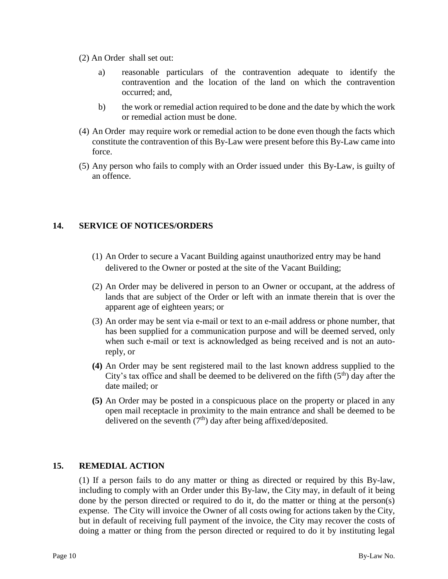- (2) An Order shall set out:
	- a) reasonable particulars of the contravention adequate to identify the contravention and the location of the land on which the contravention occurred; and,
	- b) the work or remedial action required to be done and the date by which the work or remedial action must be done.
- (4) An Order may require work or remedial action to be done even though the facts which constitute the contravention of this By-Law were present before this By-Law came into force.
- (5) Any person who fails to comply with an Order issued under this By-Law, is guilty of an offence.

# **14. SERVICE OF NOTICES/ORDERS**

- (1) An Order to secure a Vacant Building against unauthorized entry may be hand delivered to the Owner or posted at the site of the Vacant Building;
- (2) An Order may be delivered in person to an Owner or occupant, at the address of lands that are subject of the Order or left with an inmate therein that is over the apparent age of eighteen years; or
- (3) An order may be sent via e-mail or text to an e-mail address or phone number, that has been supplied for a communication purpose and will be deemed served, only when such e-mail or text is acknowledged as being received and is not an autoreply, or
- **(4)** An Order may be sent registered mail to the last known address supplied to the City's tax office and shall be deemed to be delivered on the fifth  $(5<sup>th</sup>)$  day after the date mailed; or
- **(5)** An Order may be posted in a conspicuous place on the property or placed in any open mail receptacle in proximity to the main entrance and shall be deemed to be delivered on the seventh  $(7<sup>th</sup>)$  day after being affixed/deposited.

# **15. REMEDIAL ACTION**

(1) If a person fails to do any matter or thing as directed or required by this By-law, including to comply with an Order under this By-law, the City may, in default of it being done by the person directed or required to do it, do the matter or thing at the person(s) expense. The City will invoice the Owner of all costs owing for actions taken by the City, but in default of receiving full payment of the invoice, the City may recover the costs of doing a matter or thing from the person directed or required to do it by instituting legal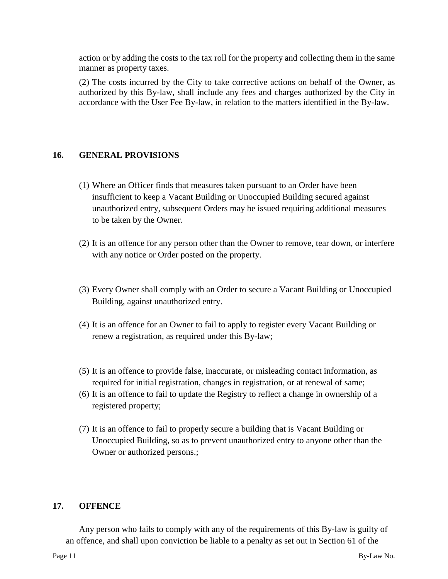action or by adding the costs to the tax roll for the property and collecting them in the same manner as property taxes.

(2) The costs incurred by the City to take corrective actions on behalf of the Owner, as authorized by this By-law, shall include any fees and charges authorized by the City in accordance with the User Fee By-law, in relation to the matters identified in the By-law.

# **16. GENERAL PROVISIONS**

- (1) Where an Officer finds that measures taken pursuant to an Order have been insufficient to keep a Vacant Building or Unoccupied Building secured against unauthorized entry, subsequent Orders may be issued requiring additional measures to be taken by the Owner.
- (2) It is an offence for any person other than the Owner to remove, tear down, or interfere with any notice or Order posted on the property.
- (3) Every Owner shall comply with an Order to secure a Vacant Building or Unoccupied Building, against unauthorized entry.
- (4) It is an offence for an Owner to fail to apply to register every Vacant Building or renew a registration, as required under this By-law;
- (5) It is an offence to provide false, inaccurate, or misleading contact information, as required for initial registration, changes in registration, or at renewal of same;
- (6) It is an offence to fail to update the Registry to reflect a change in ownership of a registered property;
- (7) It is an offence to fail to properly secure a building that is Vacant Building or Unoccupied Building, so as to prevent unauthorized entry to anyone other than the Owner or authorized persons.;

# **17. OFFENCE**

Any person who fails to comply with any of the requirements of this By-law is guilty of an offence, and shall upon conviction be liable to a penalty as set out in Section 61 of the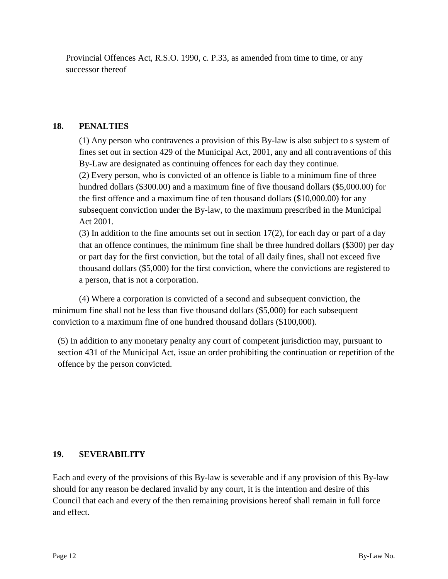Provincial Offences Act, R.S.O. 1990, c. P.33, as amended from time to time, or any successor thereof

# **18. PENALTIES**

(1) Any person who contravenes a provision of this By-law is also subject to s system of fines set out in section 429 of the Municipal Act, 2001, any and all contraventions of this By-Law are designated as continuing offences for each day they continue.

(2) Every person, who is convicted of an offence is liable to a minimum fine of three hundred dollars (\$300.00) and a maximum fine of five thousand dollars (\$5,000.00) for the first offence and a maximum fine of ten thousand dollars (\$10,000.00) for any subsequent conviction under the By-law, to the maximum prescribed in the Municipal Act 2001.

(3) In addition to the fine amounts set out in section 17(2), for each day or part of a day that an offence continues, the minimum fine shall be three hundred dollars (\$300) per day or part day for the first conviction, but the total of all daily fines, shall not exceed five thousand dollars (\$5,000) for the first conviction, where the convictions are registered to a person, that is not a corporation.

(4) Where a corporation is convicted of a second and subsequent conviction, the minimum fine shall not be less than five thousand dollars (\$5,000) for each subsequent conviction to a maximum fine of one hundred thousand dollars (\$100,000).

(5) In addition to any monetary penalty any court of competent jurisdiction may, pursuant to section 431 of the Municipal Act, issue an order prohibiting the continuation or repetition of the offence by the person convicted.

# **19. SEVERABILITY**

Each and every of the provisions of this By-law is severable and if any provision of this By-law should for any reason be declared invalid by any court, it is the intention and desire of this Council that each and every of the then remaining provisions hereof shall remain in full force and effect.